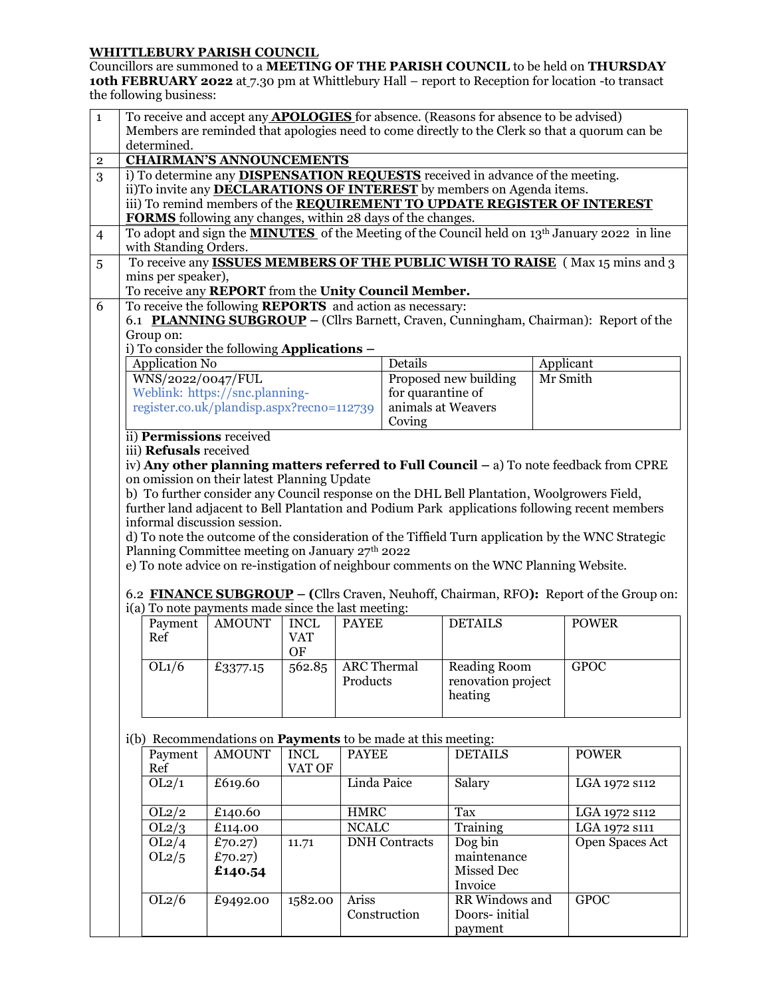## **WHITTLEBURY PARISH COUNCIL**

Councillors are summoned to a **MEETING OF THE PARISH COUNCIL** to be held on **THURSDAY 10th FEBRUARY 2022** at 7.30 pm at Whittlebury Hall – report to Reception for location -to transact the following business:

| $\mathbf 1$<br>Members are reminded that apologies need to come directly to the Clerk so that a quorum can be<br>determined.<br><b>CHAIRMAN'S ANNOUNCEMENTS</b><br>$\mathbf{2}$<br>i) To determine any <b>DISPENSATION REQUESTS</b> received in advance of the meeting.<br>3<br>ii)To invite any <b>DECLARATIONS OF INTEREST</b> by members on Agenda items.<br>iii) To remind members of the REQUIREMENT TO UPDATE REGISTER OF INTEREST<br><b>FORMS</b> following any changes, within 28 days of the changes.<br>To adopt and sign the <b>MINUTES</b> of the Meeting of the Council held on $13th$ January 2022 in line<br>$\overline{4}$<br>with Standing Orders.<br>To receive any <b>ISSUES MEMBERS OF THE PUBLIC WISH TO RAISE</b> (Max 15 mins and 3)<br>5<br>mins per speaker),<br>To receive any REPORT from the Unity Council Member.<br>To receive the following <b>REPORTS</b> and action as necessary:<br>6<br>6.1 PLANNING SUBGROUP – (Cllrs Barnett, Craven, Cunningham, Chairman): Report of the<br>Group on:<br>i) To consider the following Applications -<br>Application No<br>Details<br>Applicant<br>Proposed new building<br>WNS/2022/0047/FUL<br>Mr Smith<br>Weblink: https://snc.planning-<br>for quarantine of<br>register.co.uk/plandisp.aspx?recno=112739<br>animals at Weavers<br>Coving<br>ii) Permissions received<br>iii) Refusals received<br>iv) Any other planning matters referred to Full Council - a) To note feedback from CPRE<br>on omission on their latest Planning Update<br>b) To further consider any Council response on the DHL Bell Plantation, Woolgrowers Field,<br>further land adjacent to Bell Plantation and Podium Park applications following recent members<br>informal discussion session.<br>d) To note the outcome of the consideration of the Tiffield Turn application by the WNC Strategic<br>Planning Committee meeting on January 27th 2022<br>e) To note advice on re-instigation of neighbour comments on the WNC Planning Website.<br>6.2 <b>FINANCE SUBGROUP</b> – (Cllrs Craven, Neuhoff, Chairman, RFO): Report of the Group on:<br>i(a) To note payments made since the last meeting:<br><b>DETAILS</b><br>Payment<br><b>AMOUNT</b><br><b>INCL</b><br><b>POWER</b><br><b>PAYEE</b><br>Ref<br><b>VAT</b><br>OF<br><b>ARC</b> Thermal<br><b>Reading Room</b><br><b>GPOC</b><br>OL1/6<br>562.85<br>£3377.15<br>Products<br>renovation project<br>heating<br>i(b) Recommendations on <b>Payments</b> to be made at this meeting:<br><b>AMOUNT</b><br><b>INCL</b><br><b>DETAILS</b><br><b>POWER</b><br>Payment<br><b>PAYEE</b><br>Ref<br>VAT OF<br>£619.60<br>Linda Paice<br>OL2/1<br>Salary<br>LGA 1972 s112<br>OL2/2<br><b>HMRC</b><br>Tax<br>£140.60<br>LGA 1972 s112<br>OL2/3<br><b>NCALC</b><br>LGA 1972 s111<br>£114.00<br>Training<br>OL2/4<br><b>DNH</b> Contracts<br>Open Spaces Act<br>£70.27)<br>Dog bin<br>11.71<br>£70.27)<br>maintenance<br>OL2/5<br>Missed Dec<br>£140.54<br>Invoice<br>OL2/6<br><b>GPOC</b><br>1582.00<br>Ariss<br>RR Windows and<br>£9492.00 |                                                                                             |  |  |  |  |  |               |  |  |  |  |  |
|-------------------------------------------------------------------------------------------------------------------------------------------------------------------------------------------------------------------------------------------------------------------------------------------------------------------------------------------------------------------------------------------------------------------------------------------------------------------------------------------------------------------------------------------------------------------------------------------------------------------------------------------------------------------------------------------------------------------------------------------------------------------------------------------------------------------------------------------------------------------------------------------------------------------------------------------------------------------------------------------------------------------------------------------------------------------------------------------------------------------------------------------------------------------------------------------------------------------------------------------------------------------------------------------------------------------------------------------------------------------------------------------------------------------------------------------------------------------------------------------------------------------------------------------------------------------------------------------------------------------------------------------------------------------------------------------------------------------------------------------------------------------------------------------------------------------------------------------------------------------------------------------------------------------------------------------------------------------------------------------------------------------------------------------------------------------------------------------------------------------------------------------------------------------------------------------------------------------------------------------------------------------------------------------------------------------------------------------------------------------------------------------------------------------------------------------------------------------------------------------------------------------------------------------------------------------------------------------------------------------------------------------------------------------------------------------------------------------------------------------------------------------------------------------------------------------------------------------------------------------------------------------------------------------------------------------------------------------------------------------------------------------------------------------------|---------------------------------------------------------------------------------------------|--|--|--|--|--|---------------|--|--|--|--|--|
|                                                                                                                                                                                                                                                                                                                                                                                                                                                                                                                                                                                                                                                                                                                                                                                                                                                                                                                                                                                                                                                                                                                                                                                                                                                                                                                                                                                                                                                                                                                                                                                                                                                                                                                                                                                                                                                                                                                                                                                                                                                                                                                                                                                                                                                                                                                                                                                                                                                                                                                                                                                                                                                                                                                                                                                                                                                                                                                                                                                                                                                 | To receive and accept any <b>APOLOGIES</b> for absence. (Reasons for absence to be advised) |  |  |  |  |  |               |  |  |  |  |  |
|                                                                                                                                                                                                                                                                                                                                                                                                                                                                                                                                                                                                                                                                                                                                                                                                                                                                                                                                                                                                                                                                                                                                                                                                                                                                                                                                                                                                                                                                                                                                                                                                                                                                                                                                                                                                                                                                                                                                                                                                                                                                                                                                                                                                                                                                                                                                                                                                                                                                                                                                                                                                                                                                                                                                                                                                                                                                                                                                                                                                                                                 |                                                                                             |  |  |  |  |  |               |  |  |  |  |  |
|                                                                                                                                                                                                                                                                                                                                                                                                                                                                                                                                                                                                                                                                                                                                                                                                                                                                                                                                                                                                                                                                                                                                                                                                                                                                                                                                                                                                                                                                                                                                                                                                                                                                                                                                                                                                                                                                                                                                                                                                                                                                                                                                                                                                                                                                                                                                                                                                                                                                                                                                                                                                                                                                                                                                                                                                                                                                                                                                                                                                                                                 |                                                                                             |  |  |  |  |  |               |  |  |  |  |  |
|                                                                                                                                                                                                                                                                                                                                                                                                                                                                                                                                                                                                                                                                                                                                                                                                                                                                                                                                                                                                                                                                                                                                                                                                                                                                                                                                                                                                                                                                                                                                                                                                                                                                                                                                                                                                                                                                                                                                                                                                                                                                                                                                                                                                                                                                                                                                                                                                                                                                                                                                                                                                                                                                                                                                                                                                                                                                                                                                                                                                                                                 |                                                                                             |  |  |  |  |  |               |  |  |  |  |  |
|                                                                                                                                                                                                                                                                                                                                                                                                                                                                                                                                                                                                                                                                                                                                                                                                                                                                                                                                                                                                                                                                                                                                                                                                                                                                                                                                                                                                                                                                                                                                                                                                                                                                                                                                                                                                                                                                                                                                                                                                                                                                                                                                                                                                                                                                                                                                                                                                                                                                                                                                                                                                                                                                                                                                                                                                                                                                                                                                                                                                                                                 |                                                                                             |  |  |  |  |  |               |  |  |  |  |  |
|                                                                                                                                                                                                                                                                                                                                                                                                                                                                                                                                                                                                                                                                                                                                                                                                                                                                                                                                                                                                                                                                                                                                                                                                                                                                                                                                                                                                                                                                                                                                                                                                                                                                                                                                                                                                                                                                                                                                                                                                                                                                                                                                                                                                                                                                                                                                                                                                                                                                                                                                                                                                                                                                                                                                                                                                                                                                                                                                                                                                                                                 |                                                                                             |  |  |  |  |  |               |  |  |  |  |  |
|                                                                                                                                                                                                                                                                                                                                                                                                                                                                                                                                                                                                                                                                                                                                                                                                                                                                                                                                                                                                                                                                                                                                                                                                                                                                                                                                                                                                                                                                                                                                                                                                                                                                                                                                                                                                                                                                                                                                                                                                                                                                                                                                                                                                                                                                                                                                                                                                                                                                                                                                                                                                                                                                                                                                                                                                                                                                                                                                                                                                                                                 |                                                                                             |  |  |  |  |  |               |  |  |  |  |  |
|                                                                                                                                                                                                                                                                                                                                                                                                                                                                                                                                                                                                                                                                                                                                                                                                                                                                                                                                                                                                                                                                                                                                                                                                                                                                                                                                                                                                                                                                                                                                                                                                                                                                                                                                                                                                                                                                                                                                                                                                                                                                                                                                                                                                                                                                                                                                                                                                                                                                                                                                                                                                                                                                                                                                                                                                                                                                                                                                                                                                                                                 |                                                                                             |  |  |  |  |  |               |  |  |  |  |  |
|                                                                                                                                                                                                                                                                                                                                                                                                                                                                                                                                                                                                                                                                                                                                                                                                                                                                                                                                                                                                                                                                                                                                                                                                                                                                                                                                                                                                                                                                                                                                                                                                                                                                                                                                                                                                                                                                                                                                                                                                                                                                                                                                                                                                                                                                                                                                                                                                                                                                                                                                                                                                                                                                                                                                                                                                                                                                                                                                                                                                                                                 |                                                                                             |  |  |  |  |  |               |  |  |  |  |  |
|                                                                                                                                                                                                                                                                                                                                                                                                                                                                                                                                                                                                                                                                                                                                                                                                                                                                                                                                                                                                                                                                                                                                                                                                                                                                                                                                                                                                                                                                                                                                                                                                                                                                                                                                                                                                                                                                                                                                                                                                                                                                                                                                                                                                                                                                                                                                                                                                                                                                                                                                                                                                                                                                                                                                                                                                                                                                                                                                                                                                                                                 |                                                                                             |  |  |  |  |  |               |  |  |  |  |  |
|                                                                                                                                                                                                                                                                                                                                                                                                                                                                                                                                                                                                                                                                                                                                                                                                                                                                                                                                                                                                                                                                                                                                                                                                                                                                                                                                                                                                                                                                                                                                                                                                                                                                                                                                                                                                                                                                                                                                                                                                                                                                                                                                                                                                                                                                                                                                                                                                                                                                                                                                                                                                                                                                                                                                                                                                                                                                                                                                                                                                                                                 |                                                                                             |  |  |  |  |  |               |  |  |  |  |  |
|                                                                                                                                                                                                                                                                                                                                                                                                                                                                                                                                                                                                                                                                                                                                                                                                                                                                                                                                                                                                                                                                                                                                                                                                                                                                                                                                                                                                                                                                                                                                                                                                                                                                                                                                                                                                                                                                                                                                                                                                                                                                                                                                                                                                                                                                                                                                                                                                                                                                                                                                                                                                                                                                                                                                                                                                                                                                                                                                                                                                                                                 |                                                                                             |  |  |  |  |  |               |  |  |  |  |  |
|                                                                                                                                                                                                                                                                                                                                                                                                                                                                                                                                                                                                                                                                                                                                                                                                                                                                                                                                                                                                                                                                                                                                                                                                                                                                                                                                                                                                                                                                                                                                                                                                                                                                                                                                                                                                                                                                                                                                                                                                                                                                                                                                                                                                                                                                                                                                                                                                                                                                                                                                                                                                                                                                                                                                                                                                                                                                                                                                                                                                                                                 |                                                                                             |  |  |  |  |  |               |  |  |  |  |  |
|                                                                                                                                                                                                                                                                                                                                                                                                                                                                                                                                                                                                                                                                                                                                                                                                                                                                                                                                                                                                                                                                                                                                                                                                                                                                                                                                                                                                                                                                                                                                                                                                                                                                                                                                                                                                                                                                                                                                                                                                                                                                                                                                                                                                                                                                                                                                                                                                                                                                                                                                                                                                                                                                                                                                                                                                                                                                                                                                                                                                                                                 |                                                                                             |  |  |  |  |  |               |  |  |  |  |  |
|                                                                                                                                                                                                                                                                                                                                                                                                                                                                                                                                                                                                                                                                                                                                                                                                                                                                                                                                                                                                                                                                                                                                                                                                                                                                                                                                                                                                                                                                                                                                                                                                                                                                                                                                                                                                                                                                                                                                                                                                                                                                                                                                                                                                                                                                                                                                                                                                                                                                                                                                                                                                                                                                                                                                                                                                                                                                                                                                                                                                                                                 |                                                                                             |  |  |  |  |  |               |  |  |  |  |  |
|                                                                                                                                                                                                                                                                                                                                                                                                                                                                                                                                                                                                                                                                                                                                                                                                                                                                                                                                                                                                                                                                                                                                                                                                                                                                                                                                                                                                                                                                                                                                                                                                                                                                                                                                                                                                                                                                                                                                                                                                                                                                                                                                                                                                                                                                                                                                                                                                                                                                                                                                                                                                                                                                                                                                                                                                                                                                                                                                                                                                                                                 |                                                                                             |  |  |  |  |  |               |  |  |  |  |  |
|                                                                                                                                                                                                                                                                                                                                                                                                                                                                                                                                                                                                                                                                                                                                                                                                                                                                                                                                                                                                                                                                                                                                                                                                                                                                                                                                                                                                                                                                                                                                                                                                                                                                                                                                                                                                                                                                                                                                                                                                                                                                                                                                                                                                                                                                                                                                                                                                                                                                                                                                                                                                                                                                                                                                                                                                                                                                                                                                                                                                                                                 |                                                                                             |  |  |  |  |  |               |  |  |  |  |  |
|                                                                                                                                                                                                                                                                                                                                                                                                                                                                                                                                                                                                                                                                                                                                                                                                                                                                                                                                                                                                                                                                                                                                                                                                                                                                                                                                                                                                                                                                                                                                                                                                                                                                                                                                                                                                                                                                                                                                                                                                                                                                                                                                                                                                                                                                                                                                                                                                                                                                                                                                                                                                                                                                                                                                                                                                                                                                                                                                                                                                                                                 |                                                                                             |  |  |  |  |  |               |  |  |  |  |  |
|                                                                                                                                                                                                                                                                                                                                                                                                                                                                                                                                                                                                                                                                                                                                                                                                                                                                                                                                                                                                                                                                                                                                                                                                                                                                                                                                                                                                                                                                                                                                                                                                                                                                                                                                                                                                                                                                                                                                                                                                                                                                                                                                                                                                                                                                                                                                                                                                                                                                                                                                                                                                                                                                                                                                                                                                                                                                                                                                                                                                                                                 |                                                                                             |  |  |  |  |  |               |  |  |  |  |  |
|                                                                                                                                                                                                                                                                                                                                                                                                                                                                                                                                                                                                                                                                                                                                                                                                                                                                                                                                                                                                                                                                                                                                                                                                                                                                                                                                                                                                                                                                                                                                                                                                                                                                                                                                                                                                                                                                                                                                                                                                                                                                                                                                                                                                                                                                                                                                                                                                                                                                                                                                                                                                                                                                                                                                                                                                                                                                                                                                                                                                                                                 |                                                                                             |  |  |  |  |  |               |  |  |  |  |  |
|                                                                                                                                                                                                                                                                                                                                                                                                                                                                                                                                                                                                                                                                                                                                                                                                                                                                                                                                                                                                                                                                                                                                                                                                                                                                                                                                                                                                                                                                                                                                                                                                                                                                                                                                                                                                                                                                                                                                                                                                                                                                                                                                                                                                                                                                                                                                                                                                                                                                                                                                                                                                                                                                                                                                                                                                                                                                                                                                                                                                                                                 |                                                                                             |  |  |  |  |  |               |  |  |  |  |  |
|                                                                                                                                                                                                                                                                                                                                                                                                                                                                                                                                                                                                                                                                                                                                                                                                                                                                                                                                                                                                                                                                                                                                                                                                                                                                                                                                                                                                                                                                                                                                                                                                                                                                                                                                                                                                                                                                                                                                                                                                                                                                                                                                                                                                                                                                                                                                                                                                                                                                                                                                                                                                                                                                                                                                                                                                                                                                                                                                                                                                                                                 |                                                                                             |  |  |  |  |  |               |  |  |  |  |  |
|                                                                                                                                                                                                                                                                                                                                                                                                                                                                                                                                                                                                                                                                                                                                                                                                                                                                                                                                                                                                                                                                                                                                                                                                                                                                                                                                                                                                                                                                                                                                                                                                                                                                                                                                                                                                                                                                                                                                                                                                                                                                                                                                                                                                                                                                                                                                                                                                                                                                                                                                                                                                                                                                                                                                                                                                                                                                                                                                                                                                                                                 |                                                                                             |  |  |  |  |  |               |  |  |  |  |  |
|                                                                                                                                                                                                                                                                                                                                                                                                                                                                                                                                                                                                                                                                                                                                                                                                                                                                                                                                                                                                                                                                                                                                                                                                                                                                                                                                                                                                                                                                                                                                                                                                                                                                                                                                                                                                                                                                                                                                                                                                                                                                                                                                                                                                                                                                                                                                                                                                                                                                                                                                                                                                                                                                                                                                                                                                                                                                                                                                                                                                                                                 |                                                                                             |  |  |  |  |  |               |  |  |  |  |  |
|                                                                                                                                                                                                                                                                                                                                                                                                                                                                                                                                                                                                                                                                                                                                                                                                                                                                                                                                                                                                                                                                                                                                                                                                                                                                                                                                                                                                                                                                                                                                                                                                                                                                                                                                                                                                                                                                                                                                                                                                                                                                                                                                                                                                                                                                                                                                                                                                                                                                                                                                                                                                                                                                                                                                                                                                                                                                                                                                                                                                                                                 |                                                                                             |  |  |  |  |  |               |  |  |  |  |  |
|                                                                                                                                                                                                                                                                                                                                                                                                                                                                                                                                                                                                                                                                                                                                                                                                                                                                                                                                                                                                                                                                                                                                                                                                                                                                                                                                                                                                                                                                                                                                                                                                                                                                                                                                                                                                                                                                                                                                                                                                                                                                                                                                                                                                                                                                                                                                                                                                                                                                                                                                                                                                                                                                                                                                                                                                                                                                                                                                                                                                                                                 |                                                                                             |  |  |  |  |  |               |  |  |  |  |  |
|                                                                                                                                                                                                                                                                                                                                                                                                                                                                                                                                                                                                                                                                                                                                                                                                                                                                                                                                                                                                                                                                                                                                                                                                                                                                                                                                                                                                                                                                                                                                                                                                                                                                                                                                                                                                                                                                                                                                                                                                                                                                                                                                                                                                                                                                                                                                                                                                                                                                                                                                                                                                                                                                                                                                                                                                                                                                                                                                                                                                                                                 |                                                                                             |  |  |  |  |  |               |  |  |  |  |  |
|                                                                                                                                                                                                                                                                                                                                                                                                                                                                                                                                                                                                                                                                                                                                                                                                                                                                                                                                                                                                                                                                                                                                                                                                                                                                                                                                                                                                                                                                                                                                                                                                                                                                                                                                                                                                                                                                                                                                                                                                                                                                                                                                                                                                                                                                                                                                                                                                                                                                                                                                                                                                                                                                                                                                                                                                                                                                                                                                                                                                                                                 |                                                                                             |  |  |  |  |  |               |  |  |  |  |  |
|                                                                                                                                                                                                                                                                                                                                                                                                                                                                                                                                                                                                                                                                                                                                                                                                                                                                                                                                                                                                                                                                                                                                                                                                                                                                                                                                                                                                                                                                                                                                                                                                                                                                                                                                                                                                                                                                                                                                                                                                                                                                                                                                                                                                                                                                                                                                                                                                                                                                                                                                                                                                                                                                                                                                                                                                                                                                                                                                                                                                                                                 |                                                                                             |  |  |  |  |  |               |  |  |  |  |  |
|                                                                                                                                                                                                                                                                                                                                                                                                                                                                                                                                                                                                                                                                                                                                                                                                                                                                                                                                                                                                                                                                                                                                                                                                                                                                                                                                                                                                                                                                                                                                                                                                                                                                                                                                                                                                                                                                                                                                                                                                                                                                                                                                                                                                                                                                                                                                                                                                                                                                                                                                                                                                                                                                                                                                                                                                                                                                                                                                                                                                                                                 |                                                                                             |  |  |  |  |  |               |  |  |  |  |  |
|                                                                                                                                                                                                                                                                                                                                                                                                                                                                                                                                                                                                                                                                                                                                                                                                                                                                                                                                                                                                                                                                                                                                                                                                                                                                                                                                                                                                                                                                                                                                                                                                                                                                                                                                                                                                                                                                                                                                                                                                                                                                                                                                                                                                                                                                                                                                                                                                                                                                                                                                                                                                                                                                                                                                                                                                                                                                                                                                                                                                                                                 |                                                                                             |  |  |  |  |  |               |  |  |  |  |  |
|                                                                                                                                                                                                                                                                                                                                                                                                                                                                                                                                                                                                                                                                                                                                                                                                                                                                                                                                                                                                                                                                                                                                                                                                                                                                                                                                                                                                                                                                                                                                                                                                                                                                                                                                                                                                                                                                                                                                                                                                                                                                                                                                                                                                                                                                                                                                                                                                                                                                                                                                                                                                                                                                                                                                                                                                                                                                                                                                                                                                                                                 |                                                                                             |  |  |  |  |  |               |  |  |  |  |  |
|                                                                                                                                                                                                                                                                                                                                                                                                                                                                                                                                                                                                                                                                                                                                                                                                                                                                                                                                                                                                                                                                                                                                                                                                                                                                                                                                                                                                                                                                                                                                                                                                                                                                                                                                                                                                                                                                                                                                                                                                                                                                                                                                                                                                                                                                                                                                                                                                                                                                                                                                                                                                                                                                                                                                                                                                                                                                                                                                                                                                                                                 |                                                                                             |  |  |  |  |  |               |  |  |  |  |  |
|                                                                                                                                                                                                                                                                                                                                                                                                                                                                                                                                                                                                                                                                                                                                                                                                                                                                                                                                                                                                                                                                                                                                                                                                                                                                                                                                                                                                                                                                                                                                                                                                                                                                                                                                                                                                                                                                                                                                                                                                                                                                                                                                                                                                                                                                                                                                                                                                                                                                                                                                                                                                                                                                                                                                                                                                                                                                                                                                                                                                                                                 |                                                                                             |  |  |  |  |  |               |  |  |  |  |  |
|                                                                                                                                                                                                                                                                                                                                                                                                                                                                                                                                                                                                                                                                                                                                                                                                                                                                                                                                                                                                                                                                                                                                                                                                                                                                                                                                                                                                                                                                                                                                                                                                                                                                                                                                                                                                                                                                                                                                                                                                                                                                                                                                                                                                                                                                                                                                                                                                                                                                                                                                                                                                                                                                                                                                                                                                                                                                                                                                                                                                                                                 |                                                                                             |  |  |  |  |  |               |  |  |  |  |  |
|                                                                                                                                                                                                                                                                                                                                                                                                                                                                                                                                                                                                                                                                                                                                                                                                                                                                                                                                                                                                                                                                                                                                                                                                                                                                                                                                                                                                                                                                                                                                                                                                                                                                                                                                                                                                                                                                                                                                                                                                                                                                                                                                                                                                                                                                                                                                                                                                                                                                                                                                                                                                                                                                                                                                                                                                                                                                                                                                                                                                                                                 |                                                                                             |  |  |  |  |  |               |  |  |  |  |  |
|                                                                                                                                                                                                                                                                                                                                                                                                                                                                                                                                                                                                                                                                                                                                                                                                                                                                                                                                                                                                                                                                                                                                                                                                                                                                                                                                                                                                                                                                                                                                                                                                                                                                                                                                                                                                                                                                                                                                                                                                                                                                                                                                                                                                                                                                                                                                                                                                                                                                                                                                                                                                                                                                                                                                                                                                                                                                                                                                                                                                                                                 |                                                                                             |  |  |  |  |  |               |  |  |  |  |  |
|                                                                                                                                                                                                                                                                                                                                                                                                                                                                                                                                                                                                                                                                                                                                                                                                                                                                                                                                                                                                                                                                                                                                                                                                                                                                                                                                                                                                                                                                                                                                                                                                                                                                                                                                                                                                                                                                                                                                                                                                                                                                                                                                                                                                                                                                                                                                                                                                                                                                                                                                                                                                                                                                                                                                                                                                                                                                                                                                                                                                                                                 |                                                                                             |  |  |  |  |  |               |  |  |  |  |  |
|                                                                                                                                                                                                                                                                                                                                                                                                                                                                                                                                                                                                                                                                                                                                                                                                                                                                                                                                                                                                                                                                                                                                                                                                                                                                                                                                                                                                                                                                                                                                                                                                                                                                                                                                                                                                                                                                                                                                                                                                                                                                                                                                                                                                                                                                                                                                                                                                                                                                                                                                                                                                                                                                                                                                                                                                                                                                                                                                                                                                                                                 |                                                                                             |  |  |  |  |  |               |  |  |  |  |  |
|                                                                                                                                                                                                                                                                                                                                                                                                                                                                                                                                                                                                                                                                                                                                                                                                                                                                                                                                                                                                                                                                                                                                                                                                                                                                                                                                                                                                                                                                                                                                                                                                                                                                                                                                                                                                                                                                                                                                                                                                                                                                                                                                                                                                                                                                                                                                                                                                                                                                                                                                                                                                                                                                                                                                                                                                                                                                                                                                                                                                                                                 |                                                                                             |  |  |  |  |  |               |  |  |  |  |  |
|                                                                                                                                                                                                                                                                                                                                                                                                                                                                                                                                                                                                                                                                                                                                                                                                                                                                                                                                                                                                                                                                                                                                                                                                                                                                                                                                                                                                                                                                                                                                                                                                                                                                                                                                                                                                                                                                                                                                                                                                                                                                                                                                                                                                                                                                                                                                                                                                                                                                                                                                                                                                                                                                                                                                                                                                                                                                                                                                                                                                                                                 |                                                                                             |  |  |  |  |  |               |  |  |  |  |  |
|                                                                                                                                                                                                                                                                                                                                                                                                                                                                                                                                                                                                                                                                                                                                                                                                                                                                                                                                                                                                                                                                                                                                                                                                                                                                                                                                                                                                                                                                                                                                                                                                                                                                                                                                                                                                                                                                                                                                                                                                                                                                                                                                                                                                                                                                                                                                                                                                                                                                                                                                                                                                                                                                                                                                                                                                                                                                                                                                                                                                                                                 |                                                                                             |  |  |  |  |  |               |  |  |  |  |  |
|                                                                                                                                                                                                                                                                                                                                                                                                                                                                                                                                                                                                                                                                                                                                                                                                                                                                                                                                                                                                                                                                                                                                                                                                                                                                                                                                                                                                                                                                                                                                                                                                                                                                                                                                                                                                                                                                                                                                                                                                                                                                                                                                                                                                                                                                                                                                                                                                                                                                                                                                                                                                                                                                                                                                                                                                                                                                                                                                                                                                                                                 |                                                                                             |  |  |  |  |  |               |  |  |  |  |  |
|                                                                                                                                                                                                                                                                                                                                                                                                                                                                                                                                                                                                                                                                                                                                                                                                                                                                                                                                                                                                                                                                                                                                                                                                                                                                                                                                                                                                                                                                                                                                                                                                                                                                                                                                                                                                                                                                                                                                                                                                                                                                                                                                                                                                                                                                                                                                                                                                                                                                                                                                                                                                                                                                                                                                                                                                                                                                                                                                                                                                                                                 |                                                                                             |  |  |  |  |  |               |  |  |  |  |  |
|                                                                                                                                                                                                                                                                                                                                                                                                                                                                                                                                                                                                                                                                                                                                                                                                                                                                                                                                                                                                                                                                                                                                                                                                                                                                                                                                                                                                                                                                                                                                                                                                                                                                                                                                                                                                                                                                                                                                                                                                                                                                                                                                                                                                                                                                                                                                                                                                                                                                                                                                                                                                                                                                                                                                                                                                                                                                                                                                                                                                                                                 |                                                                                             |  |  |  |  |  |               |  |  |  |  |  |
|                                                                                                                                                                                                                                                                                                                                                                                                                                                                                                                                                                                                                                                                                                                                                                                                                                                                                                                                                                                                                                                                                                                                                                                                                                                                                                                                                                                                                                                                                                                                                                                                                                                                                                                                                                                                                                                                                                                                                                                                                                                                                                                                                                                                                                                                                                                                                                                                                                                                                                                                                                                                                                                                                                                                                                                                                                                                                                                                                                                                                                                 |                                                                                             |  |  |  |  |  |               |  |  |  |  |  |
|                                                                                                                                                                                                                                                                                                                                                                                                                                                                                                                                                                                                                                                                                                                                                                                                                                                                                                                                                                                                                                                                                                                                                                                                                                                                                                                                                                                                                                                                                                                                                                                                                                                                                                                                                                                                                                                                                                                                                                                                                                                                                                                                                                                                                                                                                                                                                                                                                                                                                                                                                                                                                                                                                                                                                                                                                                                                                                                                                                                                                                                 |                                                                                             |  |  |  |  |  |               |  |  |  |  |  |
|                                                                                                                                                                                                                                                                                                                                                                                                                                                                                                                                                                                                                                                                                                                                                                                                                                                                                                                                                                                                                                                                                                                                                                                                                                                                                                                                                                                                                                                                                                                                                                                                                                                                                                                                                                                                                                                                                                                                                                                                                                                                                                                                                                                                                                                                                                                                                                                                                                                                                                                                                                                                                                                                                                                                                                                                                                                                                                                                                                                                                                                 |                                                                                             |  |  |  |  |  |               |  |  |  |  |  |
|                                                                                                                                                                                                                                                                                                                                                                                                                                                                                                                                                                                                                                                                                                                                                                                                                                                                                                                                                                                                                                                                                                                                                                                                                                                                                                                                                                                                                                                                                                                                                                                                                                                                                                                                                                                                                                                                                                                                                                                                                                                                                                                                                                                                                                                                                                                                                                                                                                                                                                                                                                                                                                                                                                                                                                                                                                                                                                                                                                                                                                                 |                                                                                             |  |  |  |  |  |               |  |  |  |  |  |
|                                                                                                                                                                                                                                                                                                                                                                                                                                                                                                                                                                                                                                                                                                                                                                                                                                                                                                                                                                                                                                                                                                                                                                                                                                                                                                                                                                                                                                                                                                                                                                                                                                                                                                                                                                                                                                                                                                                                                                                                                                                                                                                                                                                                                                                                                                                                                                                                                                                                                                                                                                                                                                                                                                                                                                                                                                                                                                                                                                                                                                                 |                                                                                             |  |  |  |  |  |               |  |  |  |  |  |
|                                                                                                                                                                                                                                                                                                                                                                                                                                                                                                                                                                                                                                                                                                                                                                                                                                                                                                                                                                                                                                                                                                                                                                                                                                                                                                                                                                                                                                                                                                                                                                                                                                                                                                                                                                                                                                                                                                                                                                                                                                                                                                                                                                                                                                                                                                                                                                                                                                                                                                                                                                                                                                                                                                                                                                                                                                                                                                                                                                                                                                                 |                                                                                             |  |  |  |  |  |               |  |  |  |  |  |
|                                                                                                                                                                                                                                                                                                                                                                                                                                                                                                                                                                                                                                                                                                                                                                                                                                                                                                                                                                                                                                                                                                                                                                                                                                                                                                                                                                                                                                                                                                                                                                                                                                                                                                                                                                                                                                                                                                                                                                                                                                                                                                                                                                                                                                                                                                                                                                                                                                                                                                                                                                                                                                                                                                                                                                                                                                                                                                                                                                                                                                                 |                                                                                             |  |  |  |  |  |               |  |  |  |  |  |
|                                                                                                                                                                                                                                                                                                                                                                                                                                                                                                                                                                                                                                                                                                                                                                                                                                                                                                                                                                                                                                                                                                                                                                                                                                                                                                                                                                                                                                                                                                                                                                                                                                                                                                                                                                                                                                                                                                                                                                                                                                                                                                                                                                                                                                                                                                                                                                                                                                                                                                                                                                                                                                                                                                                                                                                                                                                                                                                                                                                                                                                 |                                                                                             |  |  |  |  |  |               |  |  |  |  |  |
|                                                                                                                                                                                                                                                                                                                                                                                                                                                                                                                                                                                                                                                                                                                                                                                                                                                                                                                                                                                                                                                                                                                                                                                                                                                                                                                                                                                                                                                                                                                                                                                                                                                                                                                                                                                                                                                                                                                                                                                                                                                                                                                                                                                                                                                                                                                                                                                                                                                                                                                                                                                                                                                                                                                                                                                                                                                                                                                                                                                                                                                 |                                                                                             |  |  |  |  |  |               |  |  |  |  |  |
| Construction                                                                                                                                                                                                                                                                                                                                                                                                                                                                                                                                                                                                                                                                                                                                                                                                                                                                                                                                                                                                                                                                                                                                                                                                                                                                                                                                                                                                                                                                                                                                                                                                                                                                                                                                                                                                                                                                                                                                                                                                                                                                                                                                                                                                                                                                                                                                                                                                                                                                                                                                                                                                                                                                                                                                                                                                                                                                                                                                                                                                                                    |                                                                                             |  |  |  |  |  |               |  |  |  |  |  |
| payment                                                                                                                                                                                                                                                                                                                                                                                                                                                                                                                                                                                                                                                                                                                                                                                                                                                                                                                                                                                                                                                                                                                                                                                                                                                                                                                                                                                                                                                                                                                                                                                                                                                                                                                                                                                                                                                                                                                                                                                                                                                                                                                                                                                                                                                                                                                                                                                                                                                                                                                                                                                                                                                                                                                                                                                                                                                                                                                                                                                                                                         |                                                                                             |  |  |  |  |  | Doors-initial |  |  |  |  |  |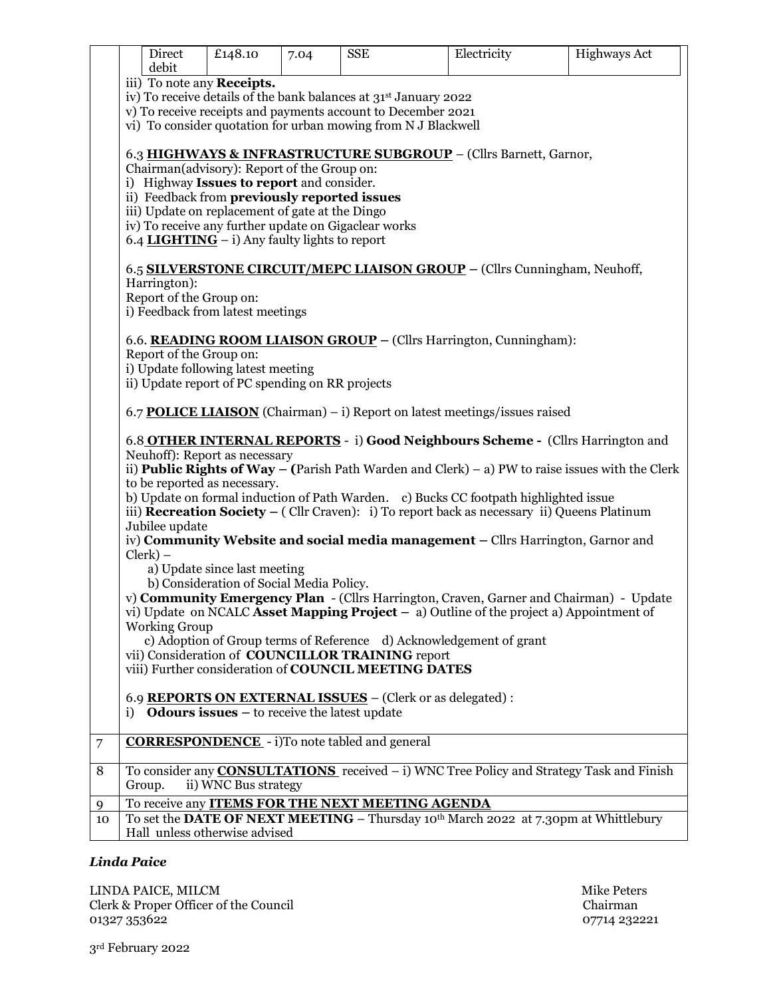|         |                                                                                                                                                            | Direct                                                        | £148.10                                                                                  | 7.04 | <b>SSE</b>                                           | Electricity                                                                                          | <b>Highways Act</b>                                                                                     |  |  |  |  |
|---------|------------------------------------------------------------------------------------------------------------------------------------------------------------|---------------------------------------------------------------|------------------------------------------------------------------------------------------|------|------------------------------------------------------|------------------------------------------------------------------------------------------------------|---------------------------------------------------------------------------------------------------------|--|--|--|--|
|         |                                                                                                                                                            | debit                                                         |                                                                                          |      |                                                      |                                                                                                      |                                                                                                         |  |  |  |  |
|         | iii) To note any <b>Receipts.</b><br>iv) To receive details of the bank balances at 31 <sup>st</sup> January 2022                                          |                                                               |                                                                                          |      |                                                      |                                                                                                      |                                                                                                         |  |  |  |  |
|         | v) To receive receipts and payments account to December 2021                                                                                               |                                                               |                                                                                          |      |                                                      |                                                                                                      |                                                                                                         |  |  |  |  |
|         |                                                                                                                                                            | vi) To consider quotation for urban mowing from N J Blackwell |                                                                                          |      |                                                      |                                                                                                      |                                                                                                         |  |  |  |  |
|         | 6.3 HIGHWAYS & INFRASTRUCTURE SUBGROUP - (Cllrs Barnett, Garnor,                                                                                           |                                                               |                                                                                          |      |                                                      |                                                                                                      |                                                                                                         |  |  |  |  |
|         |                                                                                                                                                            |                                                               |                                                                                          |      |                                                      |                                                                                                      |                                                                                                         |  |  |  |  |
|         |                                                                                                                                                            |                                                               | Chairman(advisory): Report of the Group on:<br>i) Highway Issues to report and consider. |      |                                                      |                                                                                                      |                                                                                                         |  |  |  |  |
|         |                                                                                                                                                            |                                                               | ii) Feedback from previously reported issues                                             |      |                                                      |                                                                                                      |                                                                                                         |  |  |  |  |
|         |                                                                                                                                                            |                                                               | iii) Update on replacement of gate at the Dingo                                          |      |                                                      |                                                                                                      |                                                                                                         |  |  |  |  |
|         |                                                                                                                                                            |                                                               |                                                                                          |      | iv) To receive any further update on Gigaclear works |                                                                                                      |                                                                                                         |  |  |  |  |
|         |                                                                                                                                                            |                                                               | 6.4 <b>LIGHTING</b> – i) Any faulty lights to report                                     |      |                                                      |                                                                                                      |                                                                                                         |  |  |  |  |
|         |                                                                                                                                                            |                                                               |                                                                                          |      |                                                      | 6.5 SILVERSTONE CIRCUIT/MEPC LIAISON GROUP - (Cllrs Cunningham, Neuhoff,                             |                                                                                                         |  |  |  |  |
|         |                                                                                                                                                            | Harrington):                                                  |                                                                                          |      |                                                      |                                                                                                      |                                                                                                         |  |  |  |  |
|         |                                                                                                                                                            | Report of the Group on:                                       |                                                                                          |      |                                                      |                                                                                                      |                                                                                                         |  |  |  |  |
|         |                                                                                                                                                            |                                                               | i) Feedback from latest meetings                                                         |      |                                                      |                                                                                                      |                                                                                                         |  |  |  |  |
|         |                                                                                                                                                            |                                                               |                                                                                          |      |                                                      |                                                                                                      |                                                                                                         |  |  |  |  |
|         |                                                                                                                                                            |                                                               |                                                                                          |      |                                                      | 6.6. READING ROOM LIAISON GROUP – (Cllrs Harrington, Cunningham):                                    |                                                                                                         |  |  |  |  |
|         |                                                                                                                                                            | Report of the Group on:                                       |                                                                                          |      |                                                      |                                                                                                      |                                                                                                         |  |  |  |  |
|         |                                                                                                                                                            |                                                               | i) Update following latest meeting<br>ii) Update report of PC spending on RR projects    |      |                                                      |                                                                                                      |                                                                                                         |  |  |  |  |
|         |                                                                                                                                                            |                                                               |                                                                                          |      |                                                      |                                                                                                      |                                                                                                         |  |  |  |  |
|         |                                                                                                                                                            |                                                               |                                                                                          |      |                                                      | 6.7 <b>POLICE LIAISON</b> (Chairman) – i) Report on latest meetings/issues raised                    |                                                                                                         |  |  |  |  |
|         |                                                                                                                                                            |                                                               |                                                                                          |      |                                                      | 6.8 OTHER INTERNAL REPORTS - i) Good Neighbours Scheme - (Cllrs Harrington and                       |                                                                                                         |  |  |  |  |
|         |                                                                                                                                                            |                                                               | Neuhoff): Report as necessary                                                            |      |                                                      |                                                                                                      |                                                                                                         |  |  |  |  |
|         |                                                                                                                                                            |                                                               |                                                                                          |      |                                                      |                                                                                                      | ii) <b>Public Rights of Way</b> – (Parish Path Warden and Clerk) – a) PW to raise issues with the Clerk |  |  |  |  |
|         |                                                                                                                                                            |                                                               | to be reported as necessary.                                                             |      |                                                      |                                                                                                      |                                                                                                         |  |  |  |  |
|         |                                                                                                                                                            |                                                               |                                                                                          |      |                                                      | b) Update on formal induction of Path Warden. c) Bucks CC footpath highlighted issue                 |                                                                                                         |  |  |  |  |
|         |                                                                                                                                                            | Jubilee update                                                |                                                                                          |      |                                                      | iii) <b>Recreation Society</b> $-$ (Cllr Craven): i) To report back as necessary ii) Queens Platinum |                                                                                                         |  |  |  |  |
|         |                                                                                                                                                            |                                                               |                                                                                          |      |                                                      | iv) Community Website and social media management - Cllrs Harrington, Garnor and                     |                                                                                                         |  |  |  |  |
|         |                                                                                                                                                            | $Clerk$ ) –                                                   |                                                                                          |      |                                                      |                                                                                                      |                                                                                                         |  |  |  |  |
|         |                                                                                                                                                            |                                                               | a) Update since last meeting                                                             |      |                                                      |                                                                                                      |                                                                                                         |  |  |  |  |
|         |                                                                                                                                                            |                                                               | b) Consideration of Social Media Policy.                                                 |      |                                                      |                                                                                                      |                                                                                                         |  |  |  |  |
|         |                                                                                                                                                            |                                                               |                                                                                          |      |                                                      |                                                                                                      | v) Community Emergency Plan - (Cllrs Harrington, Craven, Garner and Chairman) - Update                  |  |  |  |  |
|         |                                                                                                                                                            | <b>Working Group</b>                                          |                                                                                          |      |                                                      | vi) Update on NCALC Asset Mapping Project $-$ a) Outline of the project a) Appointment of            |                                                                                                         |  |  |  |  |
|         |                                                                                                                                                            |                                                               |                                                                                          |      |                                                      |                                                                                                      |                                                                                                         |  |  |  |  |
|         | c) Adoption of Group terms of Reference d) Acknowledgement of grant<br>vii) Consideration of COUNCILLOR TRAINING report                                    |                                                               |                                                                                          |      |                                                      |                                                                                                      |                                                                                                         |  |  |  |  |
|         | viii) Further consideration of COUNCIL MEETING DATES                                                                                                       |                                                               |                                                                                          |      |                                                      |                                                                                                      |                                                                                                         |  |  |  |  |
|         | 6.9 REPORTS ON EXTERNAL ISSUES - (Clerk or as delegated):                                                                                                  |                                                               |                                                                                          |      |                                                      |                                                                                                      |                                                                                                         |  |  |  |  |
|         |                                                                                                                                                            |                                                               |                                                                                          |      |                                                      |                                                                                                      |                                                                                                         |  |  |  |  |
|         | i) <b>Odours issues</b> $-$ to receive the latest update                                                                                                   |                                                               |                                                                                          |      |                                                      |                                                                                                      |                                                                                                         |  |  |  |  |
| 7       |                                                                                                                                                            |                                                               |                                                                                          |      | <b>CORRESPONDENCE</b> - i)To note tabled and general |                                                                                                      |                                                                                                         |  |  |  |  |
|         | To consider any <b>CONSULTATIONS</b> received – i) WNC Tree Policy and Strategy Task and Finish                                                            |                                                               |                                                                                          |      |                                                      |                                                                                                      |                                                                                                         |  |  |  |  |
| 8       |                                                                                                                                                            | Group.                                                        | ii) WNC Bus strategy                                                                     |      |                                                      |                                                                                                      |                                                                                                         |  |  |  |  |
|         |                                                                                                                                                            |                                                               |                                                                                          |      |                                                      |                                                                                                      |                                                                                                         |  |  |  |  |
| 9<br>10 | To receive any <b>ITEMS FOR THE NEXT MEETING AGENDA</b><br>To set the DATE OF NEXT MEETING – Thursday 10 <sup>th</sup> March 2022 at 7.30pm at Whittlebury |                                                               |                                                                                          |      |                                                      |                                                                                                      |                                                                                                         |  |  |  |  |
|         | Hall unless otherwise advised                                                                                                                              |                                                               |                                                                                          |      |                                                      |                                                                                                      |                                                                                                         |  |  |  |  |
|         |                                                                                                                                                            |                                                               |                                                                                          |      |                                                      |                                                                                                      |                                                                                                         |  |  |  |  |

## *Linda Paice*

LINDA PAICE, MILCM Mike Peters Clerk & Proper Officer of the Council Chairman 01327 353622 07714 232221